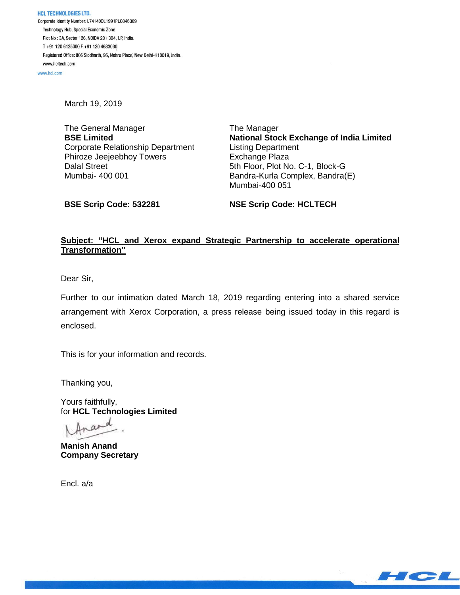www.hcl.com

March 19, 2019

The General Manager **BSE Limited** Corporate Relationship Department Phiroze Jeejeebhoy Towers Dalal Street Mumbai- 400 001

The Manager **National Stock Exchange of India Limited** Listing Department Exchange Plaza 5th Floor, Plot No. C-1, Block-G Bandra-Kurla Complex, Bandra(E) Mumbai-400 051

**BSE Scrip Code: 532281**

**NSE Scrip Code: HCLTECH**

## **Subject: "HCL and Xerox expand Strategic Partnership to accelerate operational Transformation"**

Dear Sir,

Further to our intimation dated March 18, 2019 regarding entering into a shared service arrangement with Xerox Corporation, a press release being issued today in this regard is enclosed.

This is for your information and records.

Thanking you,

Yours faithfully, for **HCL Technologies Limited**

**Manish Anand Company Secretary**

Encl. a/a

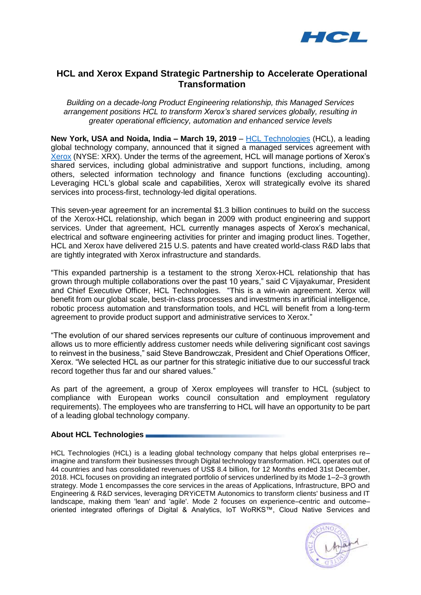

## **HCL and Xerox Expand Strategic Partnership to Accelerate Operational Transformation**

*Building on a decade-long Product Engineering relationship, this Managed Services arrangement positions HCL to transform Xerox's shared services globally, resulting in greater operational efficiency, automation and enhanced service levels*

**New York, USA and Noida, India – March 19, 2019** – HCL [Technologies](https://www.hcltech.com/) (HCL), a leading global technology company, announced that it signed a managed services agreement with [Xerox](https://www.xerox.com/) (NYSE: XRX). Under the terms of the agreement, HCL will manage portions of Xerox's shared services, including global administrative and support functions, including, among others, selected information technology and finance functions (excluding accounting). Leveraging HCL's global scale and capabilities, Xerox will strategically evolve its shared services into process-first, technology-led digital operations.

This seven-year agreement for an incremental \$1.3 billion continues to build on the success of the Xerox-HCL relationship, which began in 2009 with product engineering and support services. Under that agreement, HCL currently manages aspects of Xerox's mechanical, electrical and software engineering activities for printer and imaging product lines. Together, HCL and Xerox have delivered 215 U.S. patents and have created world-class R&D labs that are tightly integrated with Xerox infrastructure and standards.

"This expanded partnership is a testament to the strong Xerox-HCL relationship that has grown through multiple collaborations over the past 10 years," said C Vijayakumar, President and Chief Executive Officer, HCL Technologies. "This is a win-win agreement. Xerox will benefit from our global scale, best-in-class processes and investments in artificial intelligence, robotic process automation and transformation tools, and HCL will benefit from a long-term agreement to provide product support and administrative services to Xerox."

"The evolution of our shared services represents our culture of continuous improvement and allows us to more efficiently address customer needs while delivering significant cost savings to reinvest in the business," said Steve Bandrowczak, President and Chief Operations Officer, Xerox. "We selected HCL as our partner for this strategic initiative due to our successful track record together thus far and our shared values."

As part of the agreement, a group of Xerox employees will transfer to HCL (subject to compliance with European works council consultation and employment regulatory requirements). The employees who are transferring to HCL will have an opportunity to be part of a leading global technology company.

## **About HCL Technologies**

HCL Technologies (HCL) is a leading global technology company that helps global enterprises re– imagine and transform their businesses through Digital technology transformation. HCL operates out of 44 countries and has consolidated revenues of US\$ 8.4 billion, for 12 Months ended 31st December, 2018. HCL focuses on providing an integrated portfolio of services underlined by its Mode 1–2–3 growth strategy. Mode 1 encompasses the core services in the areas of Applications, Infrastructure, BPO and Engineering & R&D services, leveraging DRYiCETM Autonomics to transform clients' business and IT landscape, making them 'lean' and 'agile'. Mode 2 focuses on experience–centric and outcome– oriented integrated offerings of Digital & Analytics, IoT WoRKS™, Cloud Native Services and